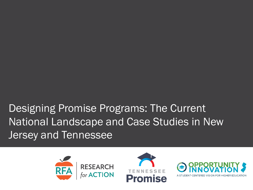Designing Promise Programs: The Current National Landscape and Case Studies in New Jersey and Tennessee

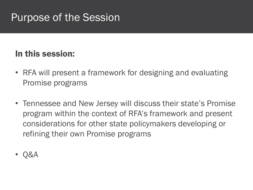## Purpose of the Session

#### In this session:

- RFA will present a framework for designing and evaluating Promise programs
- Tennessee and New Jersey will discuss their state's Promise program within the context of RFA's framework and present considerations for other state policymakers developing or refining their own Promise programs
- Q&A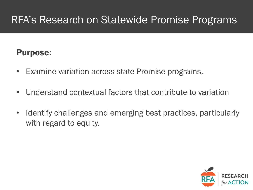## RFA's Research on Statewide Promise Programs

#### Purpose:

- Examine variation across state Promise programs,
- Understand contextual factors that contribute to variation
- Identify challenges and emerging best practices, particularly with regard to equity.

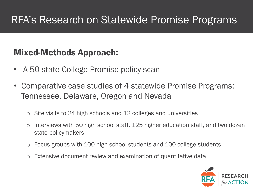## RFA's Research on Statewide Promise Programs

#### Mixed-Methods Approach:

- A 50-state College Promise policy scan
- Comparative case studies of 4 statewide Promise Programs: Tennessee, Delaware, Oregon and Nevada
	- $\circ$  Site visits to 24 high schools and 12 colleges and universities
	- o Interviews with 50 high school staff, 125 higher education staff, and two dozen state policymakers
	- Focus groups with 100 high school students and 100 college students
	- Extensive document review and examination of quantitative data

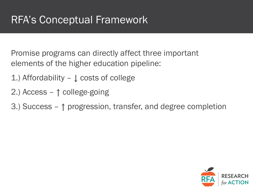Promise programs can directly affect three important elements of the higher education pipeline:

- 1.) Affordability ↓ costs of college
- 2.) Access ↑ college-going
- 3.) Success ↑ progression, transfer, and degree completion

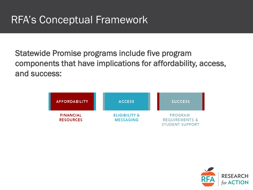Statewide Promise programs include five program components that have implications for affordability, access, and success:



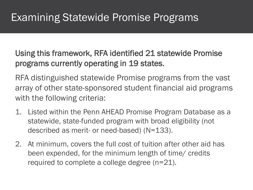Using this framework, RFA identified 21 statewide Promise programs currently operating in 19 states.

RFA distinguished statewide Promise programs from the vast array of other state-sponsored student financial aid programs with the following criteria:

- 1. Listed within the Penn AHEAD Promise Program Database as a statewide, state-funded program with broad eligibility (not described as merit- or need-based) (N=133).
- 2. At minimum, covers the full cost of tuition after other aid has been expended, for the minimum length of time/ credits required to complete a college degree (n=21).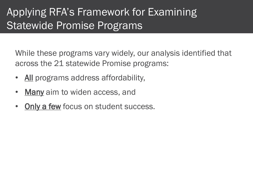## Applying RFA's Framework for Examining Statewide Promise Programs

While these programs vary widely, our analysis identified that across the 21 statewide Promise programs:

- All programs address affordability,
- Many aim to widen access, and
- Only a few focus on student success.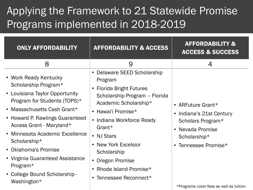# Applying the Framework to 21 Statewide Promise Programs implemented in 2018-2019

| <b>ONLY AFFORDABILITY</b>                                                                                                                                                                                                                                                                                                                                                                | <b>AFFORDABILITY &amp; ACCESS</b>                                                                                                                                                                                                                                                                                          | <b>AFFORDABILITY &amp;</b><br><b>ACCESS &amp; SUCCESS</b>                                                                                                                 |
|------------------------------------------------------------------------------------------------------------------------------------------------------------------------------------------------------------------------------------------------------------------------------------------------------------------------------------------------------------------------------------------|----------------------------------------------------------------------------------------------------------------------------------------------------------------------------------------------------------------------------------------------------------------------------------------------------------------------------|---------------------------------------------------------------------------------------------------------------------------------------------------------------------------|
| 8                                                                                                                                                                                                                                                                                                                                                                                        | 9                                                                                                                                                                                                                                                                                                                          | 4                                                                                                                                                                         |
| • Work Ready Kentucky<br>Scholarship Program*<br>• Louisiana Taylor Opportunity<br>Program for Students (TOPS)*<br>• Massachusetts Cash Grant*<br>• Howard P. Rawlings Guaranteed<br>Access Grant - Maryland*<br>• Minnesota Academic Excellence<br>Scholarship*<br>• Oklahoma's Promise<br>• Virginia Guaranteed Assistance<br>Program*<br>• College Bound Scholarship -<br>Washington* | • Delaware SEED Scholarship<br>Program<br>• Florida Bright Futures<br>Scholarship Program - Florida<br>Academic Scholarship*<br>• Hawai'i Promise*<br>• Indiana Workforce Ready<br>Grant $*$<br>• NJ Stars<br>• New York Excelsior<br>Scholarship<br>• Oregon Promise<br>• Rhode Island Promise*<br>• Tennessee Reconnect* | • ARFuture Grant*<br>• Indiana's 21st Century<br>Scholars Program*<br>• Nevada Promise<br>Scholarship*<br>• Tennessee Promise*<br>*Programs cover fees as well as tuition |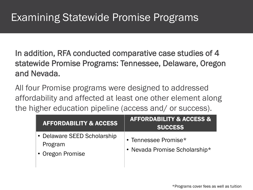In addition, RFA conducted comparative case studies of 4 statewide Promise Programs: Tennessee, Delaware, Oregon and Nevada.

All four Promise programs were designed to addressed affordability and affected at least one other element along the higher education pipeline (access and/ or success).

| <b>AFFORDABILITY &amp; ACCESS</b>                          | <b>AFFORDABILITY &amp; ACCESS &amp;</b><br><b>SUCCESS</b> |
|------------------------------------------------------------|-----------------------------------------------------------|
| • Delaware SEED Scholarship<br>Program<br>• Oregon Promise | • Tennessee Promise*<br>• Nevada Promise Scholarship*     |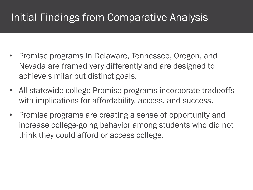# Initial Findings from Comparative Analysis

- Promise programs in Delaware, Tennessee, Oregon, and Nevada are framed very differently and are designed to achieve similar but distinct goals.
- All statewide college Promise programs incorporate tradeoffs with implications for affordability, access, and success.
- Promise programs are creating a sense of opportunity and increase college-going behavior among students who did not think they could afford or access college.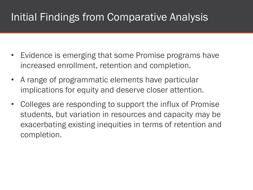# Initial Findings from Comparative Analysis

- Evidence is emerging that some Promise programs have increased enrollment, retention and completion.
- A range of programmatic elements have particular implications for equity and deserve closer attention.
- Colleges are responding to support the influx of Promise students, but variation in resources and capacity may be exacerbating existing inequities in terms of retention and completion.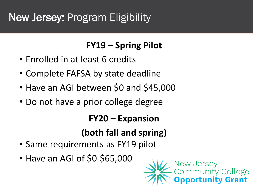# New Jersey: Program Eligibility

#### **FY19 – Spring Pilot**

- Enrolled in at least 6 credits
- Complete FAFSA by state deadline
- Have an AGI between \$0 and \$45,000
- Do not have a prior college degree

#### **FY20 – Expansion**

## **(both fall and spring)**

- Same requirements as FY19 pilot
- Have an AGI of \$0-\$65,000

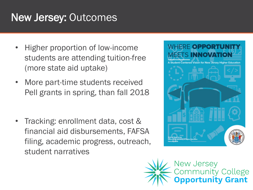# New Jersey: Outcomes

- Higher proportion of low-income students are attending tuition-free (more state aid uptake)
- More part-time students received Pell grants in spring, than fall 2018

• Tracking: enrollment data, cost & financial aid disbursements, FAFSA filing, academic progress, outreach, student narratives



New Jersey<br>Community College **ortunity Grant**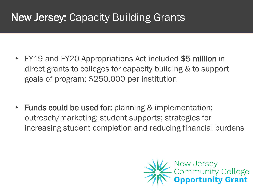# New Jersey: Capacity Building Grants

• FY19 and FY20 Appropriations Act included \$5 million in direct grants to colleges for capacity building & to support goals of program; \$250,000 per institution

• Funds could be used for: planning & implementation; outreach/marketing; student supports; strategies for increasing student completion and reducing financial burdens

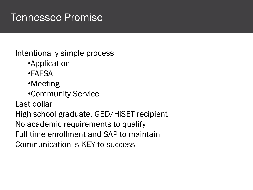## Tennessee Promise

Intentionally simple process

- •Application
- •FAFSA
- •Meeting
- •Community Service

Last dollar

High school graduate, GED/HiSET recipient No academic requirements to qualify Full-time enrollment and SAP to maintain Communication is KEY to success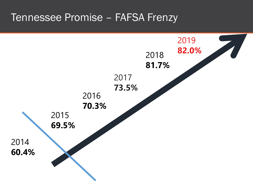#### Tennessee Promise – FAFSA Frenzy

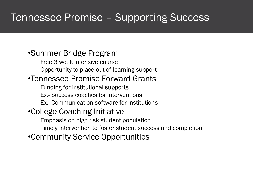## Tennessee Promise – Supporting Success

#### •Summer Bridge Program

Free 3 week intensive course

Opportunity to place out of learning support

#### •Tennessee Promise Forward Grants

Funding for institutional supports

Ex.- Success coaches for interventions

Ex.- Communication software for institutions

#### •College Coaching Initiative

Emphasis on high risk student population

Timely intervention to foster student success and completion

•Community Service Opportunities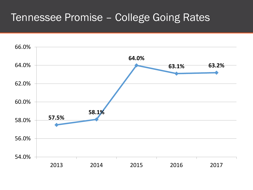### Tennessee Promise – College Going Rates

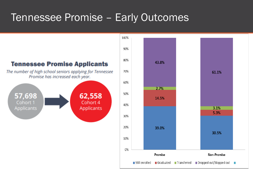## Tennessee Promise – Early Outcomes